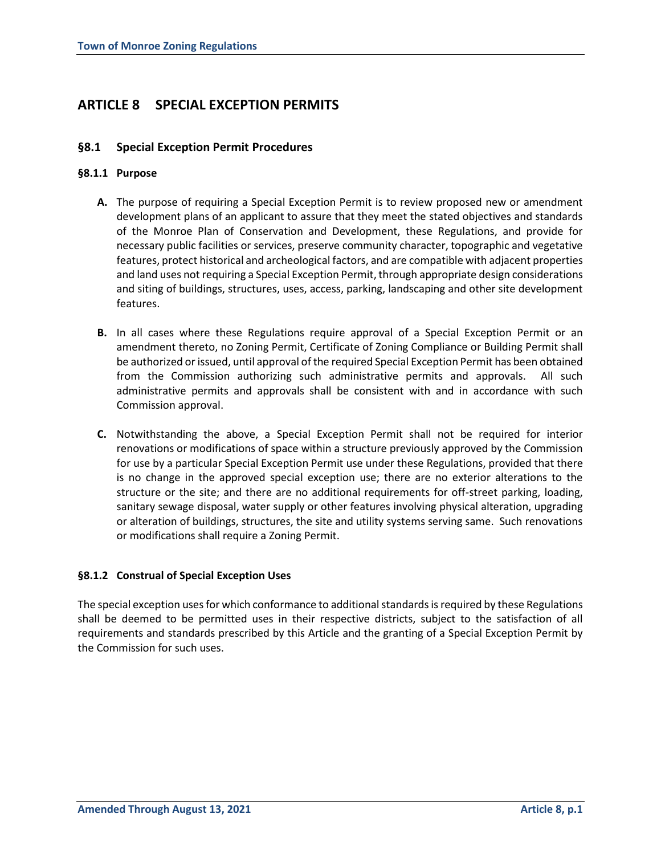# **ARTICLE 8 SPECIAL EXCEPTION PERMITS**

## **§8.1 Special Exception Permit Procedures**

#### **§8.1.1 Purpose**

- **A.** The purpose of requiring a Special Exception Permit is to review proposed new or amendment development plans of an applicant to assure that they meet the stated objectives and standards of the Monroe Plan of Conservation and Development, these Regulations, and provide for necessary public facilities or services, preserve community character, topographic and vegetative features, protect historical and archeological factors, and are compatible with adjacent properties and land uses not requiring a Special Exception Permit, through appropriate design considerations and siting of buildings, structures, uses, access, parking, landscaping and other site development features.
- **B.** In all cases where these Regulations require approval of a Special Exception Permit or an amendment thereto, no Zoning Permit, Certificate of Zoning Compliance or Building Permit shall be authorized or issued, until approval of the required Special Exception Permit has been obtained from the Commission authorizing such administrative permits and approvals. All such administrative permits and approvals shall be consistent with and in accordance with such Commission approval.
- **C.** Notwithstanding the above, a Special Exception Permit shall not be required for interior renovations or modifications of space within a structure previously approved by the Commission for use by a particular Special Exception Permit use under these Regulations, provided that there is no change in the approved special exception use; there are no exterior alterations to the structure or the site; and there are no additional requirements for off-street parking, loading, sanitary sewage disposal, water supply or other features involving physical alteration, upgrading or alteration of buildings, structures, the site and utility systems serving same. Such renovations or modifications shall require a Zoning Permit.

## **§8.1.2 Construal of Special Exception Uses**

The special exception uses for which conformance to additional standards is required by these Regulations shall be deemed to be permitted uses in their respective districts, subject to the satisfaction of all requirements and standards prescribed by this Article and the granting of a Special Exception Permit by the Commission for such uses.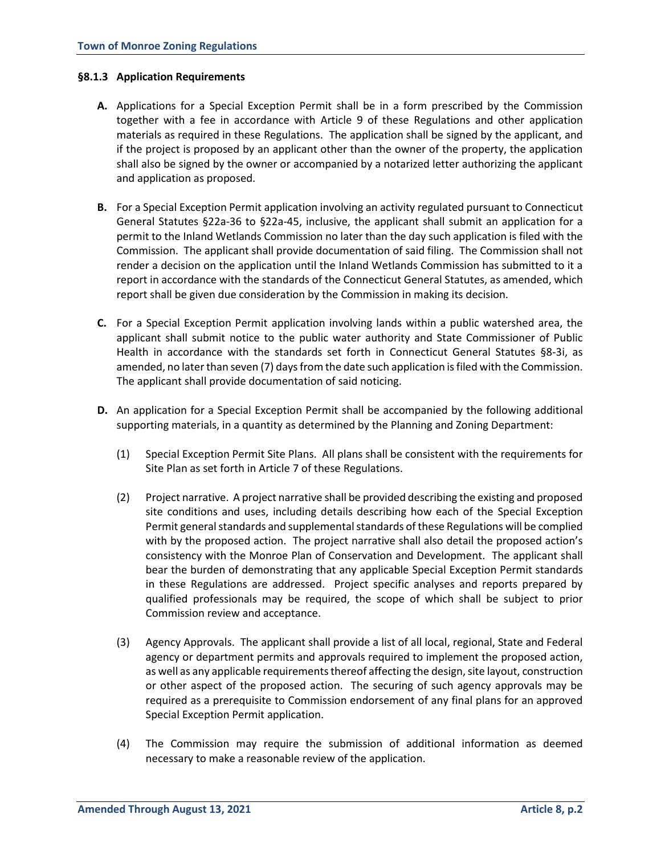#### **§8.1.3 Application Requirements**

- **A.** Applications for a Special Exception Permit shall be in a form prescribed by the Commission together with a fee in accordance with Article 9 of these Regulations and other application materials as required in these Regulations. The application shall be signed by the applicant, and if the project is proposed by an applicant other than the owner of the property, the application shall also be signed by the owner or accompanied by a notarized letter authorizing the applicant and application as proposed.
- **B.** For a Special Exception Permit application involving an activity regulated pursuant to Connecticut General Statutes §22a-36 to §22a-45, inclusive, the applicant shall submit an application for a permit to the Inland Wetlands Commission no later than the day such application is filed with the Commission. The applicant shall provide documentation of said filing. The Commission shall not render a decision on the application until the Inland Wetlands Commission has submitted to it a report in accordance with the standards of the Connecticut General Statutes, as amended, which report shall be given due consideration by the Commission in making its decision.
- **C.** For a Special Exception Permit application involving lands within a public watershed area, the applicant shall submit notice to the public water authority and State Commissioner of Public Health in accordance with the standards set forth in Connecticut General Statutes §8-3i, as amended, no later than seven (7) days from the date such application is filed with the Commission. The applicant shall provide documentation of said noticing.
- **D.** An application for a Special Exception Permit shall be accompanied by the following additional supporting materials, in a quantity as determined by the Planning and Zoning Department:
	- (1) Special Exception Permit Site Plans. All plans shall be consistent with the requirements for Site Plan as set forth in Article 7 of these Regulations.
	- (2) Project narrative. A project narrative shall be provided describing the existing and proposed site conditions and uses, including details describing how each of the Special Exception Permit general standards and supplemental standards of these Regulations will be complied with by the proposed action. The project narrative shall also detail the proposed action's consistency with the Monroe Plan of Conservation and Development. The applicant shall bear the burden of demonstrating that any applicable Special Exception Permit standards in these Regulations are addressed. Project specific analyses and reports prepared by qualified professionals may be required, the scope of which shall be subject to prior Commission review and acceptance.
	- (3) Agency Approvals. The applicant shall provide a list of all local, regional, State and Federal agency or department permits and approvals required to implement the proposed action, as well as any applicable requirements thereof affecting the design, site layout, construction or other aspect of the proposed action. The securing of such agency approvals may be required as a prerequisite to Commission endorsement of any final plans for an approved Special Exception Permit application.
	- (4) The Commission may require the submission of additional information as deemed necessary to make a reasonable review of the application.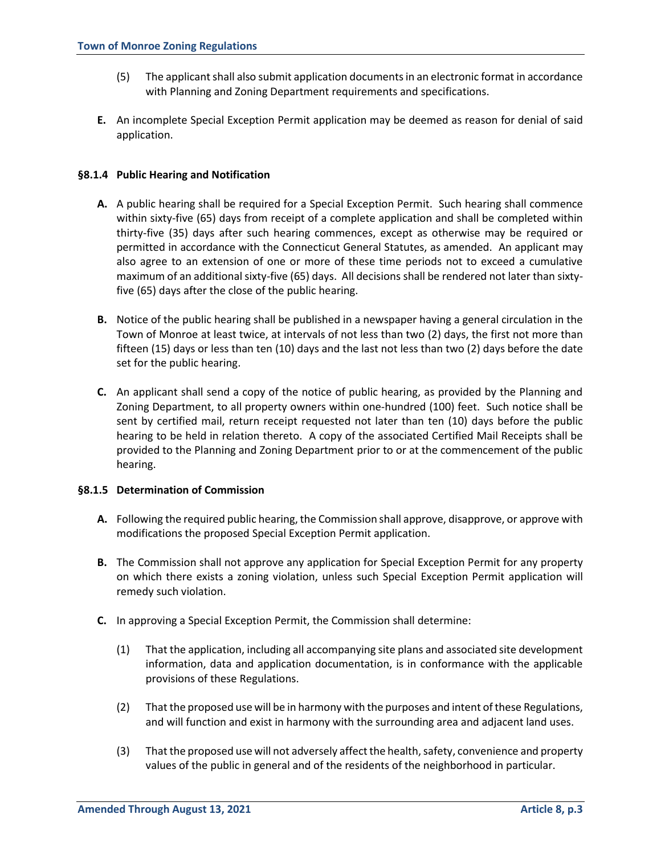- (5) The applicant shall also submit application documents in an electronic format in accordance with Planning and Zoning Department requirements and specifications.
- **E.** An incomplete Special Exception Permit application may be deemed as reason for denial of said application.

#### **§8.1.4 Public Hearing and Notification**

- **A.** A public hearing shall be required for a Special Exception Permit. Such hearing shall commence within sixty-five (65) days from receipt of a complete application and shall be completed within thirty-five (35) days after such hearing commences, except as otherwise may be required or permitted in accordance with the Connecticut General Statutes, as amended. An applicant may also agree to an extension of one or more of these time periods not to exceed a cumulative maximum of an additional sixty-five (65) days. All decisions shall be rendered not later than sixtyfive (65) days after the close of the public hearing.
- **B.** Notice of the public hearing shall be published in a newspaper having a general circulation in the Town of Monroe at least twice, at intervals of not less than two (2) days, the first not more than fifteen (15) days or less than ten (10) days and the last not less than two (2) days before the date set for the public hearing.
- **C.** An applicant shall send a copy of the notice of public hearing, as provided by the Planning and Zoning Department, to all property owners within one-hundred (100) feet. Such notice shall be sent by certified mail, return receipt requested not later than ten (10) days before the public hearing to be held in relation thereto. A copy of the associated Certified Mail Receipts shall be provided to the Planning and Zoning Department prior to or at the commencement of the public hearing.

#### **§8.1.5 Determination of Commission**

- **A.** Following the required public hearing, the Commission shall approve, disapprove, or approve with modifications the proposed Special Exception Permit application.
- **B.** The Commission shall not approve any application for Special Exception Permit for any property on which there exists a zoning violation, unless such Special Exception Permit application will remedy such violation.
- **C.** In approving a Special Exception Permit, the Commission shall determine:
	- (1) That the application, including all accompanying site plans and associated site development information, data and application documentation, is in conformance with the applicable provisions of these Regulations.
	- (2) That the proposed use will be in harmony with the purposes and intent of these Regulations, and will function and exist in harmony with the surrounding area and adjacent land uses.
	- (3) That the proposed use will not adversely affect the health, safety, convenience and property values of the public in general and of the residents of the neighborhood in particular.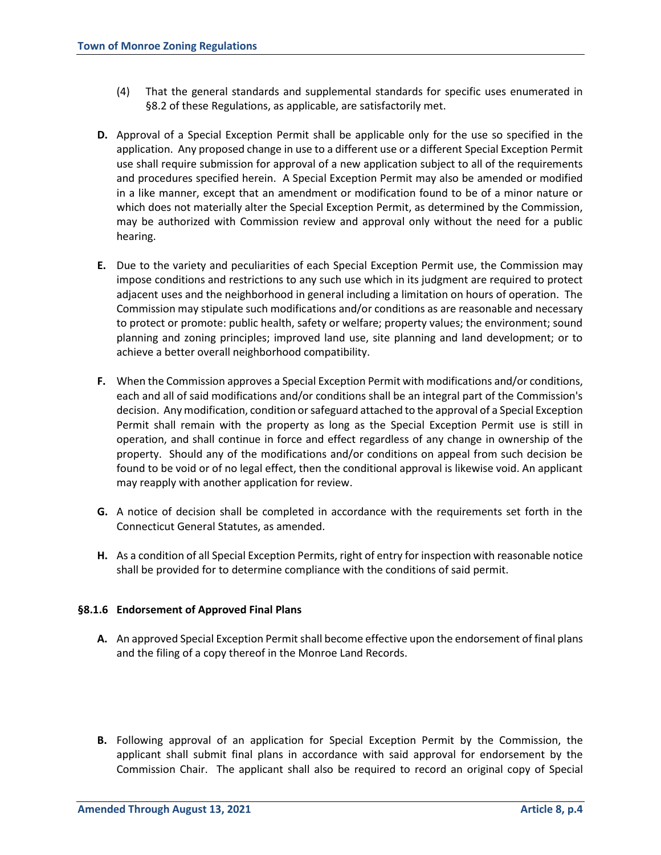- (4) That the general standards and supplemental standards for specific uses enumerated in §8.2 of these Regulations, as applicable, are satisfactorily met.
- **D.** Approval of a Special Exception Permit shall be applicable only for the use so specified in the application. Any proposed change in use to a different use or a different Special Exception Permit use shall require submission for approval of a new application subject to all of the requirements and procedures specified herein. A Special Exception Permit may also be amended or modified in a like manner, except that an amendment or modification found to be of a minor nature or which does not materially alter the Special Exception Permit, as determined by the Commission, may be authorized with Commission review and approval only without the need for a public hearing.
- **E.** Due to the variety and peculiarities of each Special Exception Permit use, the Commission may impose conditions and restrictions to any such use which in its judgment are required to protect adjacent uses and the neighborhood in general including a limitation on hours of operation. The Commission may stipulate such modifications and/or conditions as are reasonable and necessary to protect or promote: public health, safety or welfare; property values; the environment; sound planning and zoning principles; improved land use, site planning and land development; or to achieve a better overall neighborhood compatibility.
- **F.** When the Commission approves a Special Exception Permit with modifications and/or conditions, each and all of said modifications and/or conditions shall be an integral part of the Commission's decision. Any modification, condition or safeguard attached to the approval of a Special Exception Permit shall remain with the property as long as the Special Exception Permit use is still in operation, and shall continue in force and effect regardless of any change in ownership of the property. Should any of the modifications and/or conditions on appeal from such decision be found to be void or of no legal effect, then the conditional approval is likewise void. An applicant may reapply with another application for review.
- **G.** A notice of decision shall be completed in accordance with the requirements set forth in the Connecticut General Statutes, as amended.
- **H.** As a condition of all Special Exception Permits, right of entry for inspection with reasonable notice shall be provided for to determine compliance with the conditions of said permit.

## **§8.1.6 Endorsement of Approved Final Plans**

- A. An approved Special Exception Permit shall become effective upon the endorsement of final plans and the filing of a copy thereof in the Monroe Land Records.
- **B.** Following approval of an application for Special Exception Permit by the Commission, the applicant shall submit final plans in accordance with said approval for endorsement by the Commission Chair. The applicant shall also be required to record an original copy of Special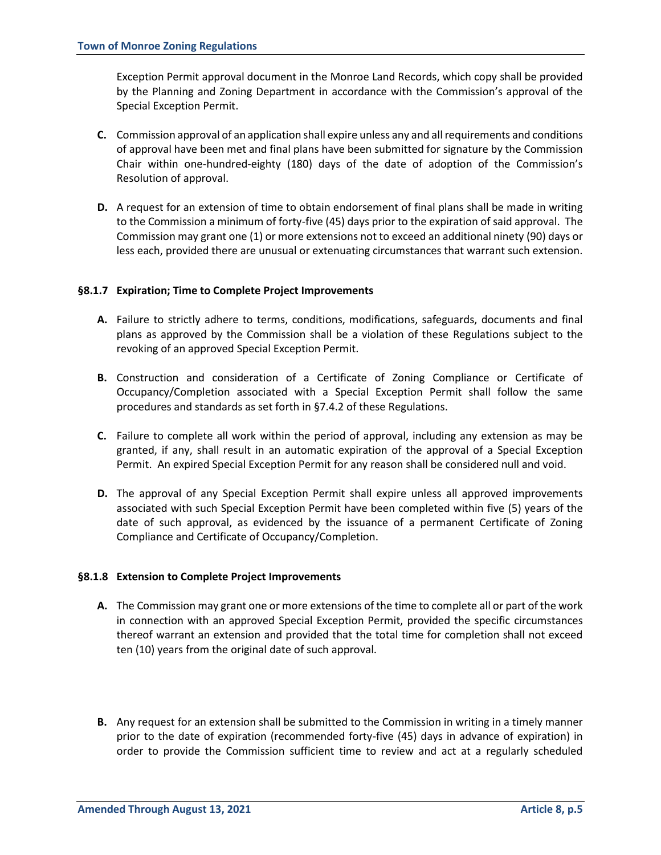Exception Permit approval document in the Monroe Land Records, which copy shall be provided by the Planning and Zoning Department in accordance with the Commission's approval of the Special Exception Permit.

- **C.** Commission approval of an application shall expire unless any and all requirements and conditions of approval have been met and final plans have been submitted for signature by the Commission Chair within one-hundred-eighty (180) days of the date of adoption of the Commission's Resolution of approval.
- **D.** A request for an extension of time to obtain endorsement of final plans shall be made in writing to the Commission a minimum of forty-five (45) days prior to the expiration of said approval. The Commission may grant one (1) or more extensions not to exceed an additional ninety (90) days or less each, provided there are unusual or extenuating circumstances that warrant such extension.

## **§8.1.7 Expiration; Time to Complete Project Improvements**

- **A.** Failure to strictly adhere to terms, conditions, modifications, safeguards, documents and final plans as approved by the Commission shall be a violation of these Regulations subject to the revoking of an approved Special Exception Permit.
- **B.** Construction and consideration of a Certificate of Zoning Compliance or Certificate of Occupancy/Completion associated with a Special Exception Permit shall follow the same procedures and standards as set forth in §7.4.2 of these Regulations.
- **C.** Failure to complete all work within the period of approval, including any extension as may be granted, if any, shall result in an automatic expiration of the approval of a Special Exception Permit. An expired Special Exception Permit for any reason shall be considered null and void.
- **D.** The approval of any Special Exception Permit shall expire unless all approved improvements associated with such Special Exception Permit have been completed within five (5) years of the date of such approval, as evidenced by the issuance of a permanent Certificate of Zoning Compliance and Certificate of Occupancy/Completion.

## **§8.1.8 Extension to Complete Project Improvements**

- **A.** The Commission may grant one or more extensions of the time to complete all or part of the work in connection with an approved Special Exception Permit, provided the specific circumstances thereof warrant an extension and provided that the total time for completion shall not exceed ten (10) years from the original date of such approval.
- **B.** Any request for an extension shall be submitted to the Commission in writing in a timely manner prior to the date of expiration (recommended forty-five (45) days in advance of expiration) in order to provide the Commission sufficient time to review and act at a regularly scheduled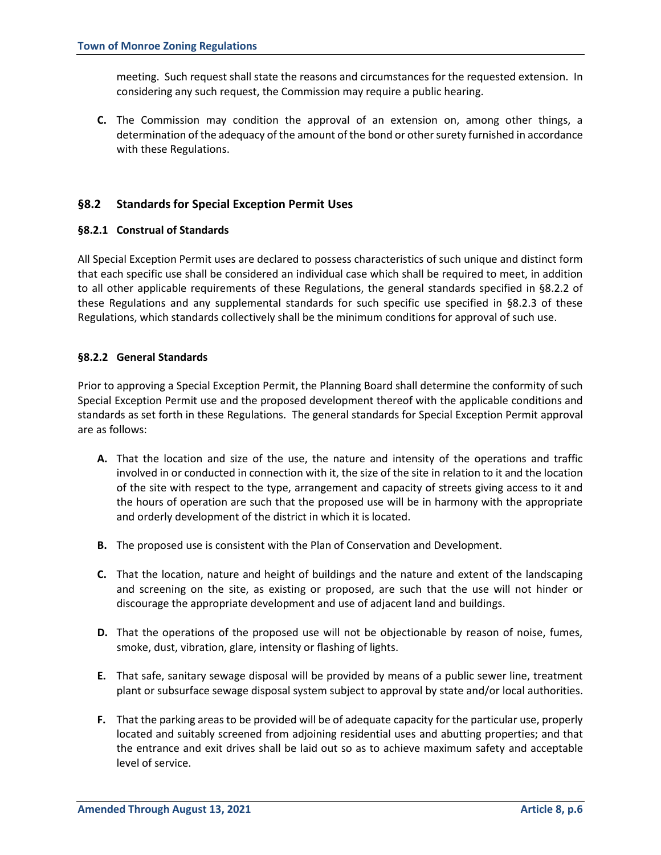meeting. Such request shall state the reasons and circumstances for the requested extension. In considering any such request, the Commission may require a public hearing.

**C.** The Commission may condition the approval of an extension on, among other things, a determination of the adequacy of the amount of the bond or other surety furnished in accordance with these Regulations.

## **§8.2 Standards for Special Exception Permit Uses**

#### **§8.2.1 Construal of Standards**

All Special Exception Permit uses are declared to possess characteristics of such unique and distinct form that each specific use shall be considered an individual case which shall be required to meet, in addition to all other applicable requirements of these Regulations, the general standards specified in §8.2.2 of these Regulations and any supplemental standards for such specific use specified in §8.2.3 of these Regulations, which standards collectively shall be the minimum conditions for approval of such use.

## **§8.2.2 General Standards**

Prior to approving a Special Exception Permit, the Planning Board shall determine the conformity of such Special Exception Permit use and the proposed development thereof with the applicable conditions and standards as set forth in these Regulations. The general standards for Special Exception Permit approval are as follows:

- **A.** That the location and size of the use, the nature and intensity of the operations and traffic involved in or conducted in connection with it, the size of the site in relation to it and the location of the site with respect to the type, arrangement and capacity of streets giving access to it and the hours of operation are such that the proposed use will be in harmony with the appropriate and orderly development of the district in which it is located.
- **B.** The proposed use is consistent with the Plan of Conservation and Development.
- **C.** That the location, nature and height of buildings and the nature and extent of the landscaping and screening on the site, as existing or proposed, are such that the use will not hinder or discourage the appropriate development and use of adjacent land and buildings.
- **D.** That the operations of the proposed use will not be objectionable by reason of noise, fumes, smoke, dust, vibration, glare, intensity or flashing of lights.
- **E.** That safe, sanitary sewage disposal will be provided by means of a public sewer line, treatment plant or subsurface sewage disposal system subject to approval by state and/or local authorities.
- **F.** That the parking areas to be provided will be of adequate capacity for the particular use, properly located and suitably screened from adjoining residential uses and abutting properties; and that the entrance and exit drives shall be laid out so as to achieve maximum safety and acceptable level of service.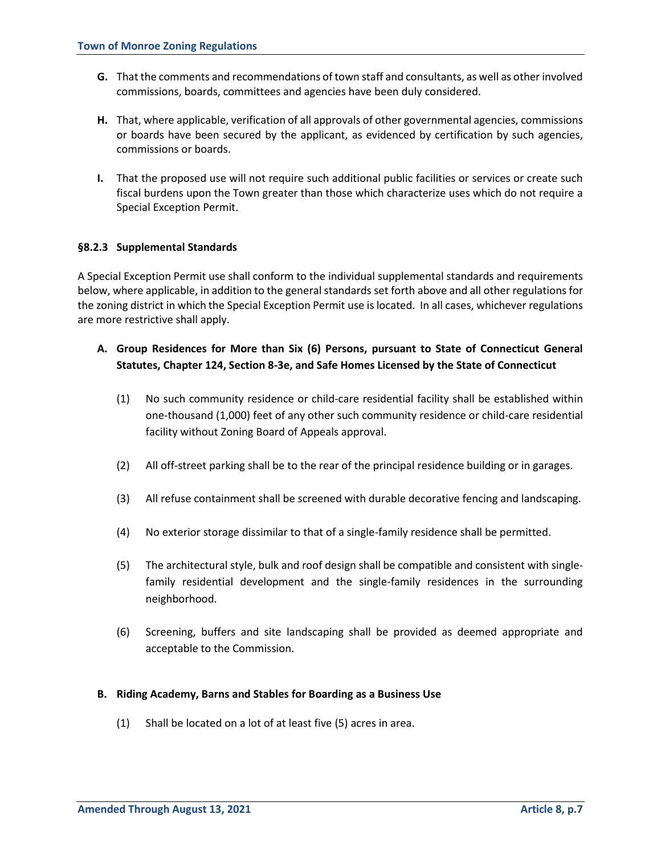- **G.** That the comments and recommendations of town staff and consultants, as well as other involved commissions, boards, committees and agencies have been duly considered.
- **H.** That, where applicable, verification of all approvals of other governmental agencies, commissions or boards have been secured by the applicant, as evidenced by certification by such agencies, commissions or boards.
- **I.** That the proposed use will not require such additional public facilities or services or create such fiscal burdens upon the Town greater than those which characterize uses which do not require a Special Exception Permit.

#### **§8.2.3 Supplemental Standards**

A Special Exception Permit use shall conform to the individual supplemental standards and requirements below, where applicable, in addition to the general standards set forth above and all other regulations for the zoning district in which the Special Exception Permit use is located. In all cases, whichever regulations are more restrictive shall apply.

## **A. Group Residences for More than Six (6) Persons, pursuant to State of Connecticut General Statutes, Chapter 124, Section 8-3e, and Safe Homes Licensed by the State of Connecticut**

- (1) No such community residence or child-care residential facility shall be established within one-thousand (1,000) feet of any other such community residence or child-care residential facility without Zoning Board of Appeals approval.
- (2) All off-street parking shall be to the rear of the principal residence building or in garages.
- (3) All refuse containment shall be screened with durable decorative fencing and landscaping.
- (4) No exterior storage dissimilar to that of a single-family residence shall be permitted.
- (5) The architectural style, bulk and roof design shall be compatible and consistent with singlefamily residential development and the single-family residences in the surrounding neighborhood.
- (6) Screening, buffers and site landscaping shall be provided as deemed appropriate and acceptable to the Commission.

#### **B. Riding Academy, Barns and Stables for Boarding as a Business Use**

(1) Shall be located on a lot of at least five (5) acres in area.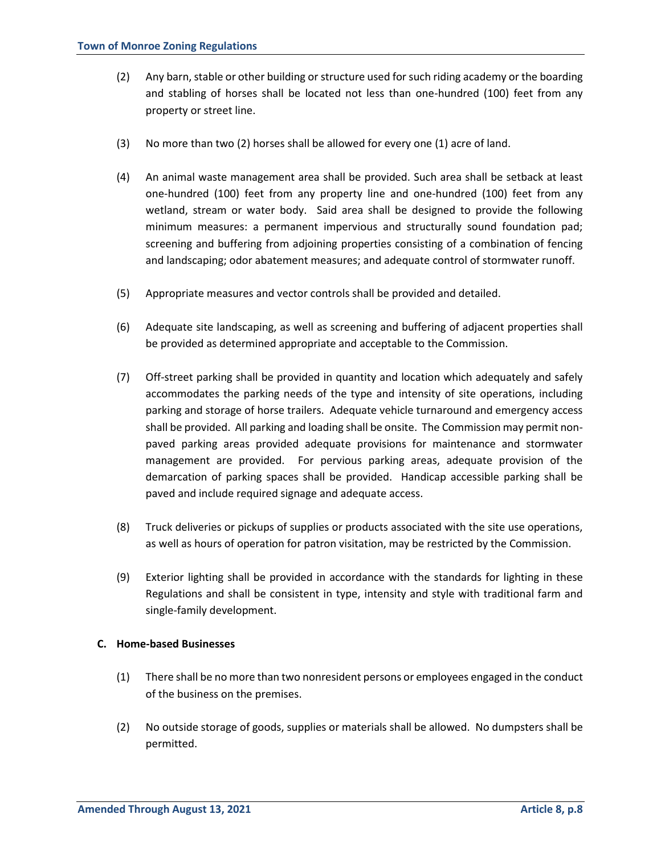- (2) Any barn, stable or other building or structure used for such riding academy or the boarding and stabling of horses shall be located not less than one-hundred (100) feet from any property or street line.
- (3) No more than two (2) horses shall be allowed for every one (1) acre of land.
- (4) An animal waste management area shall be provided. Such area shall be setback at least one-hundred (100) feet from any property line and one-hundred (100) feet from any wetland, stream or water body. Said area shall be designed to provide the following minimum measures: a permanent impervious and structurally sound foundation pad; screening and buffering from adjoining properties consisting of a combination of fencing and landscaping; odor abatement measures; and adequate control of stormwater runoff.
- (5) Appropriate measures and vector controls shall be provided and detailed.
- (6) Adequate site landscaping, as well as screening and buffering of adjacent properties shall be provided as determined appropriate and acceptable to the Commission.
- (7) Off-street parking shall be provided in quantity and location which adequately and safely accommodates the parking needs of the type and intensity of site operations, including parking and storage of horse trailers. Adequate vehicle turnaround and emergency access shall be provided. All parking and loading shall be onsite. The Commission may permit nonpaved parking areas provided adequate provisions for maintenance and stormwater management are provided. For pervious parking areas, adequate provision of the demarcation of parking spaces shall be provided. Handicap accessible parking shall be paved and include required signage and adequate access.
- (8) Truck deliveries or pickups of supplies or products associated with the site use operations, as well as hours of operation for patron visitation, may be restricted by the Commission.
- (9) Exterior lighting shall be provided in accordance with the standards for lighting in these Regulations and shall be consistent in type, intensity and style with traditional farm and single-family development.

#### **C. Home-based Businesses**

- (1) There shall be no more than two nonresident persons or employees engaged in the conduct of the business on the premises.
- (2) No outside storage of goods, supplies or materials shall be allowed. No dumpsters shall be permitted.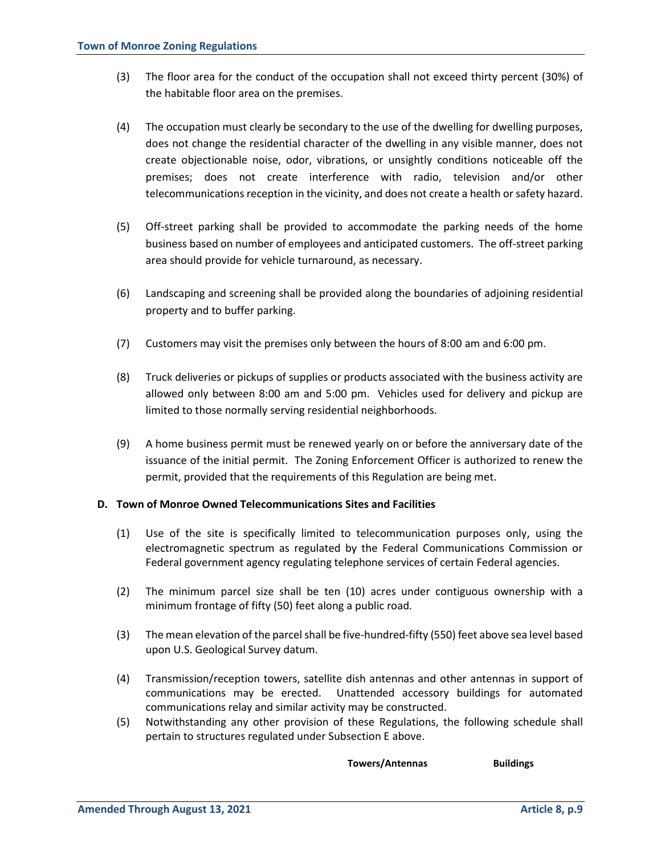- (3) The floor area for the conduct of the occupation shall not exceed thirty percent (30%) of the habitable floor area on the premises.
- (4) The occupation must clearly be secondary to the use of the dwelling for dwelling purposes, does not change the residential character of the dwelling in any visible manner, does not create objectionable noise, odor, vibrations, or unsightly conditions noticeable off the premises; does not create interference with radio, television and/or other telecommunications reception in the vicinity, and does not create a health or safety hazard.
- (5) Off-street parking shall be provided to accommodate the parking needs of the home business based on number of employees and anticipated customers. The off-street parking area should provide for vehicle turnaround, as necessary.
- (6) Landscaping and screening shall be provided along the boundaries of adjoining residential property and to buffer parking.
- (7) Customers may visit the premises only between the hours of 8:00 am and 6:00 pm.
- (8) Truck deliveries or pickups of supplies or products associated with the business activity are allowed only between 8:00 am and 5:00 pm. Vehicles used for delivery and pickup are limited to those normally serving residential neighborhoods.
- (9) A home business permit must be renewed yearly on or before the anniversary date of the issuance of the initial permit. The Zoning Enforcement Officer is authorized to renew the permit, provided that the requirements of this Regulation are being met.

## **D. Town of Monroe Owned Telecommunications Sites and Facilities**

- (1) Use of the site is specifically limited to telecommunication purposes only, using the electromagnetic spectrum as regulated by the Federal Communications Commission or Federal government agency regulating telephone services of certain Federal agencies.
- (2) The minimum parcel size shall be ten (10) acres under contiguous ownership with a minimum frontage of fifty (50) feet along a public road.
- (3) The mean elevation of the parcel shall be five-hundred-fifty (550) feet above sea level based upon U.S. Geological Survey datum.
- (4) Transmission/reception towers, satellite dish antennas and other antennas in support of communications may be erected. Unattended accessory buildings for automated communications relay and similar activity may be constructed.
- (5) Notwithstanding any other provision of these Regulations, the following schedule shall pertain to structures regulated under Subsection E above.

 **Towers/Antennas Buildings**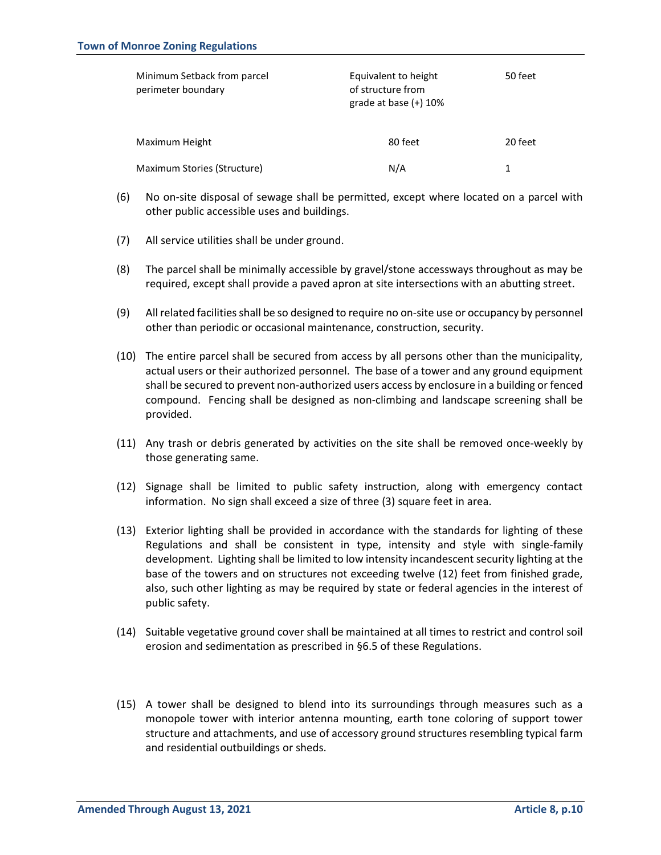| Minimum Setback from parcel<br>perimeter boundary | Equivalent to height<br>of structure from<br>grade at base $(+)$ 10% | 50 feet |
|---------------------------------------------------|----------------------------------------------------------------------|---------|
| Maximum Height                                    | 80 feet                                                              | 20 feet |
| Maximum Stories (Structure)                       | N/A                                                                  |         |

- (6) No on-site disposal of sewage shall be permitted, except where located on a parcel with other public accessible uses and buildings.
- (7) All service utilities shall be under ground.
- (8) The parcel shall be minimally accessible by gravel/stone accessways throughout as may be required, except shall provide a paved apron at site intersections with an abutting street.
- (9) All related facilities shall be so designed to require no on-site use or occupancy by personnel other than periodic or occasional maintenance, construction, security.
- (10) The entire parcel shall be secured from access by all persons other than the municipality, actual users or their authorized personnel. The base of a tower and any ground equipment shall be secured to prevent non-authorized users access by enclosure in a building or fenced compound. Fencing shall be designed as non-climbing and landscape screening shall be provided.
- (11) Any trash or debris generated by activities on the site shall be removed once-weekly by those generating same.
- (12) Signage shall be limited to public safety instruction, along with emergency contact information. No sign shall exceed a size of three (3) square feet in area.
- (13) Exterior lighting shall be provided in accordance with the standards for lighting of these Regulations and shall be consistent in type, intensity and style with single-family development. Lighting shall be limited to low intensity incandescent security lighting at the base of the towers and on structures not exceeding twelve (12) feet from finished grade, also, such other lighting as may be required by state or federal agencies in the interest of public safety.
- (14) Suitable vegetative ground cover shall be maintained at all times to restrict and control soil erosion and sedimentation as prescribed in §6.5 of these Regulations.
- (15) A tower shall be designed to blend into its surroundings through measures such as a monopole tower with interior antenna mounting, earth tone coloring of support tower structure and attachments, and use of accessory ground structures resembling typical farm and residential outbuildings or sheds.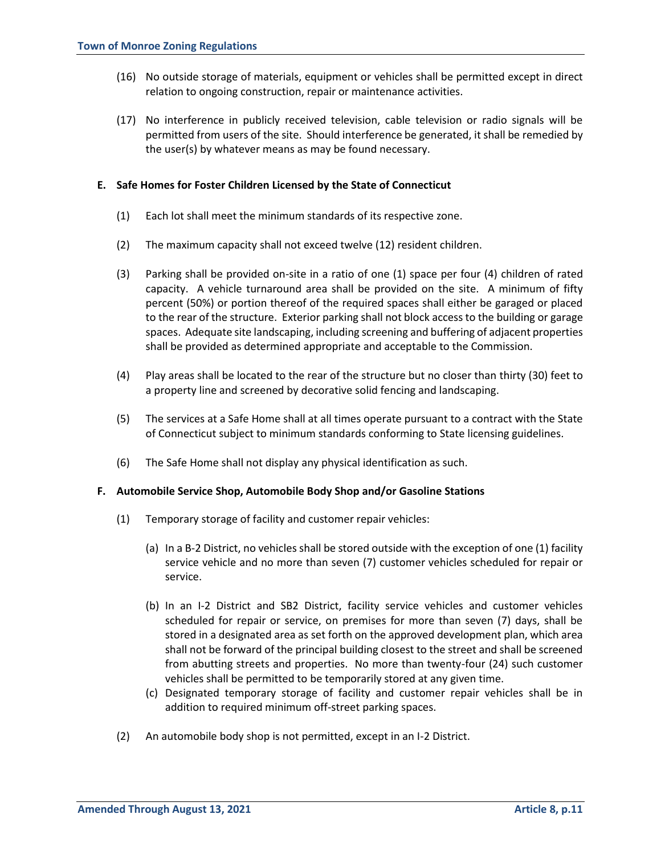- (16) No outside storage of materials, equipment or vehicles shall be permitted except in direct relation to ongoing construction, repair or maintenance activities.
- (17) No interference in publicly received television, cable television or radio signals will be permitted from users of the site. Should interference be generated, it shall be remedied by the user(s) by whatever means as may be found necessary.

#### **E. Safe Homes for Foster Children Licensed by the State of Connecticut**

- (1) Each lot shall meet the minimum standards of its respective zone.
- (2) The maximum capacity shall not exceed twelve (12) resident children.
- (3) Parking shall be provided on-site in a ratio of one (1) space per four (4) children of rated capacity. A vehicle turnaround area shall be provided on the site. A minimum of fifty percent (50%) or portion thereof of the required spaces shall either be garaged or placed to the rear of the structure. Exterior parking shall not block access to the building or garage spaces. Adequate site landscaping, including screening and buffering of adjacent properties shall be provided as determined appropriate and acceptable to the Commission.
- (4) Play areas shall be located to the rear of the structure but no closer than thirty (30) feet to a property line and screened by decorative solid fencing and landscaping.
- (5) The services at a Safe Home shall at all times operate pursuant to a contract with the State of Connecticut subject to minimum standards conforming to State licensing guidelines.
- (6) The Safe Home shall not display any physical identification as such.

#### **F. Automobile Service Shop, Automobile Body Shop and/or Gasoline Stations**

- (1) Temporary storage of facility and customer repair vehicles:
	- (a) In a B-2 District, no vehicles shall be stored outside with the exception of one (1) facility service vehicle and no more than seven (7) customer vehicles scheduled for repair or service.
	- (b) In an I-2 District and SB2 District, facility service vehicles and customer vehicles scheduled for repair or service, on premises for more than seven (7) days, shall be stored in a designated area as set forth on the approved development plan, which area shall not be forward of the principal building closest to the street and shall be screened from abutting streets and properties. No more than twenty-four (24) such customer vehicles shall be permitted to be temporarily stored at any given time.
	- (c) Designated temporary storage of facility and customer repair vehicles shall be in addition to required minimum off-street parking spaces.
- (2) An automobile body shop is not permitted, except in an I-2 District.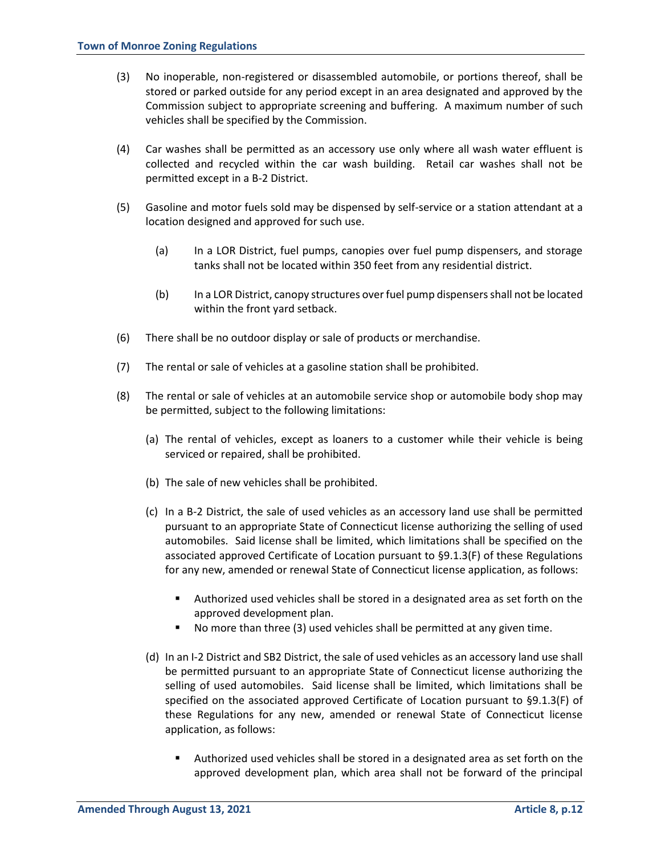- (3) No inoperable, non-registered or disassembled automobile, or portions thereof, shall be stored or parked outside for any period except in an area designated and approved by the Commission subject to appropriate screening and buffering. A maximum number of such vehicles shall be specified by the Commission.
- (4) Car washes shall be permitted as an accessory use only where all wash water effluent is collected and recycled within the car wash building. Retail car washes shall not be permitted except in a B-2 District.
- (5) Gasoline and motor fuels sold may be dispensed by self-service or a station attendant at a location designed and approved for such use.
	- (a) In a LOR District, fuel pumps, canopies over fuel pump dispensers, and storage tanks shall not be located within 350 feet from any residential district.
	- (b) In a LOR District, canopy structures over fuel pump dispensers shall not be located within the front yard setback.
- (6) There shall be no outdoor display or sale of products or merchandise.
- (7) The rental or sale of vehicles at a gasoline station shall be prohibited.
- (8) The rental or sale of vehicles at an automobile service shop or automobile body shop may be permitted, subject to the following limitations:
	- (a) The rental of vehicles, except as loaners to a customer while their vehicle is being serviced or repaired, shall be prohibited.
	- (b) The sale of new vehicles shall be prohibited.
	- (c) In a B-2 District, the sale of used vehicles as an accessory land use shall be permitted pursuant to an appropriate State of Connecticut license authorizing the selling of used automobiles. Said license shall be limited, which limitations shall be specified on the associated approved Certificate of Location pursuant to §9.1.3(F) of these Regulations for any new, amended or renewal State of Connecticut license application, as follows:
		- Authorized used vehicles shall be stored in a designated area as set forth on the approved development plan.
		- No more than three (3) used vehicles shall be permitted at any given time.
	- (d) In an I-2 District and SB2 District, the sale of used vehicles as an accessory land use shall be permitted pursuant to an appropriate State of Connecticut license authorizing the selling of used automobiles. Said license shall be limited, which limitations shall be specified on the associated approved Certificate of Location pursuant to §9.1.3(F) of these Regulations for any new, amended or renewal State of Connecticut license application, as follows:
		- Authorized used vehicles shall be stored in a designated area as set forth on the approved development plan, which area shall not be forward of the principal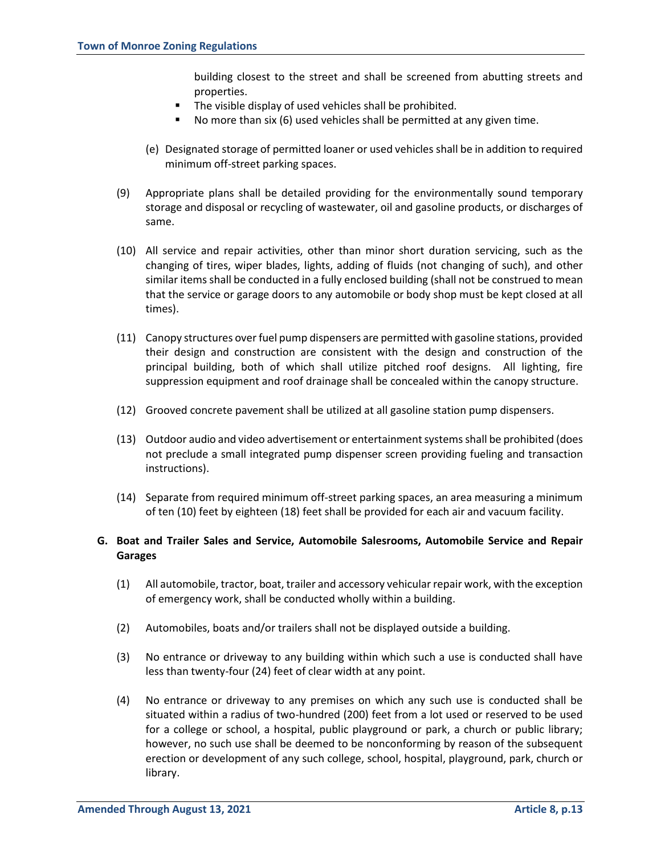building closest to the street and shall be screened from abutting streets and properties.

- The visible display of used vehicles shall be prohibited.
- No more than six (6) used vehicles shall be permitted at any given time.
- (e) Designated storage of permitted loaner or used vehicles shall be in addition to required minimum off-street parking spaces.
- (9) Appropriate plans shall be detailed providing for the environmentally sound temporary storage and disposal or recycling of wastewater, oil and gasoline products, or discharges of same.
- (10) All service and repair activities, other than minor short duration servicing, such as the changing of tires, wiper blades, lights, adding of fluids (not changing of such), and other similar items shall be conducted in a fully enclosed building (shall not be construed to mean that the service or garage doors to any automobile or body shop must be kept closed at all times).
- (11) Canopy structures over fuel pump dispensers are permitted with gasoline stations, provided their design and construction are consistent with the design and construction of the principal building, both of which shall utilize pitched roof designs. All lighting, fire suppression equipment and roof drainage shall be concealed within the canopy structure.
- (12) Grooved concrete pavement shall be utilized at all gasoline station pump dispensers.
- (13) Outdoor audio and video advertisement or entertainment systems shall be prohibited (does not preclude a small integrated pump dispenser screen providing fueling and transaction instructions).
- (14) Separate from required minimum off-street parking spaces, an area measuring a minimum of ten (10) feet by eighteen (18) feet shall be provided for each air and vacuum facility.

## **G. Boat and Trailer Sales and Service, Automobile Salesrooms, Automobile Service and Repair Garages**

- (1) All automobile, tractor, boat, trailer and accessory vehicular repair work, with the exception of emergency work, shall be conducted wholly within a building.
- (2) Automobiles, boats and/or trailers shall not be displayed outside a building.
- (3) No entrance or driveway to any building within which such a use is conducted shall have less than twenty-four (24) feet of clear width at any point.
- (4) No entrance or driveway to any premises on which any such use is conducted shall be situated within a radius of two-hundred (200) feet from a lot used or reserved to be used for a college or school, a hospital, public playground or park, a church or public library; however, no such use shall be deemed to be nonconforming by reason of the subsequent erection or development of any such college, school, hospital, playground, park, church or library.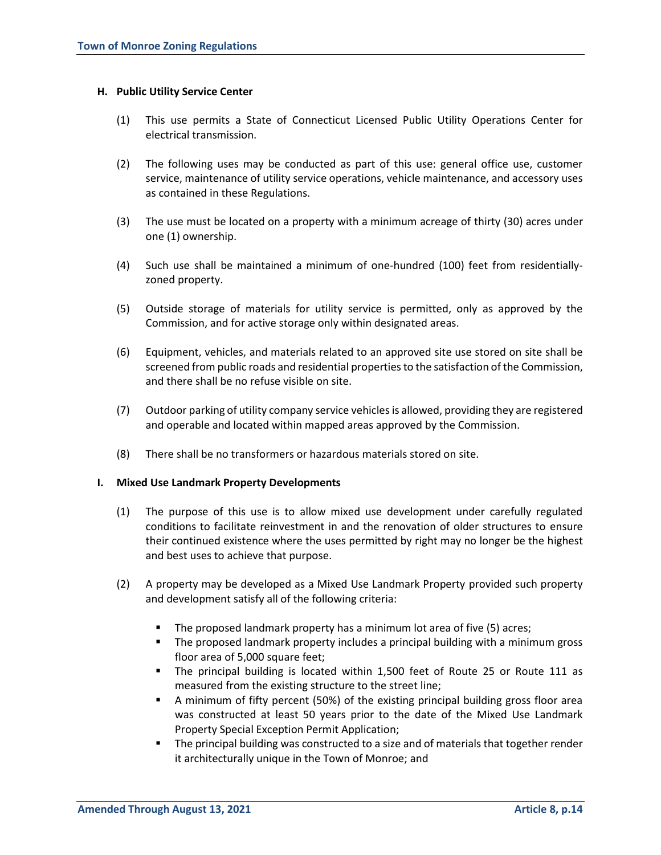#### **H. Public Utility Service Center**

- (1) This use permits a State of Connecticut Licensed Public Utility Operations Center for electrical transmission.
- (2) The following uses may be conducted as part of this use: general office use, customer service, maintenance of utility service operations, vehicle maintenance, and accessory uses as contained in these Regulations.
- (3) The use must be located on a property with a minimum acreage of thirty (30) acres under one (1) ownership.
- (4) Such use shall be maintained a minimum of one-hundred (100) feet from residentiallyzoned property.
- (5) Outside storage of materials for utility service is permitted, only as approved by the Commission, and for active storage only within designated areas.
- (6) Equipment, vehicles, and materials related to an approved site use stored on site shall be screened from public roads and residential properties to the satisfaction of the Commission, and there shall be no refuse visible on site.
- (7) Outdoor parking of utility company service vehicles is allowed, providing they are registered and operable and located within mapped areas approved by the Commission.
- (8) There shall be no transformers or hazardous materials stored on site.

#### **I. Mixed Use Landmark Property Developments**

- (1) The purpose of this use is to allow mixed use development under carefully regulated conditions to facilitate reinvestment in and the renovation of older structures to ensure their continued existence where the uses permitted by right may no longer be the highest and best uses to achieve that purpose.
- (2) A property may be developed as a Mixed Use Landmark Property provided such property and development satisfy all of the following criteria:
	- The proposed landmark property has a minimum lot area of five (5) acres;
	- The proposed landmark property includes a principal building with a minimum gross floor area of 5,000 square feet;
	- The principal building is located within 1,500 feet of Route 25 or Route 111 as measured from the existing structure to the street line;
	- A minimum of fifty percent (50%) of the existing principal building gross floor area was constructed at least 50 years prior to the date of the Mixed Use Landmark Property Special Exception Permit Application;
	- The principal building was constructed to a size and of materials that together render it architecturally unique in the Town of Monroe; and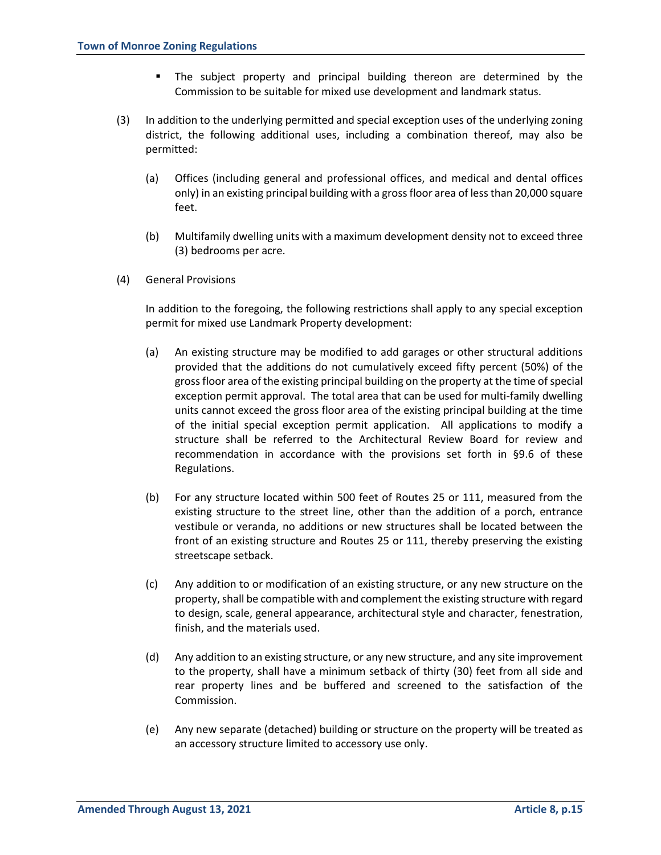- The subject property and principal building thereon are determined by the Commission to be suitable for mixed use development and landmark status.
- (3) In addition to the underlying permitted and special exception uses of the underlying zoning district, the following additional uses, including a combination thereof, may also be permitted:
	- (a) Offices (including general and professional offices, and medical and dental offices only) in an existing principal building with a gross floor area of less than 20,000 square feet.
	- (b) Multifamily dwelling units with a maximum development density not to exceed three (3) bedrooms per acre.
- (4) General Provisions

In addition to the foregoing, the following restrictions shall apply to any special exception permit for mixed use Landmark Property development:

- (a) An existing structure may be modified to add garages or other structural additions provided that the additions do not cumulatively exceed fifty percent (50%) of the gross floor area of the existing principal building on the property at the time of special exception permit approval. The total area that can be used for multi-family dwelling units cannot exceed the gross floor area of the existing principal building at the time of the initial special exception permit application. All applications to modify a structure shall be referred to the Architectural Review Board for review and recommendation in accordance with the provisions set forth in §9.6 of these Regulations.
- (b) For any structure located within 500 feet of Routes 25 or 111, measured from the existing structure to the street line, other than the addition of a porch, entrance vestibule or veranda, no additions or new structures shall be located between the front of an existing structure and Routes 25 or 111, thereby preserving the existing streetscape setback.
- (c) Any addition to or modification of an existing structure, or any new structure on the property, shall be compatible with and complement the existing structure with regard to design, scale, general appearance, architectural style and character, fenestration, finish, and the materials used.
- (d) Any addition to an existing structure, or any new structure, and any site improvement to the property, shall have a minimum setback of thirty (30) feet from all side and rear property lines and be buffered and screened to the satisfaction of the Commission.
- (e) Any new separate (detached) building or structure on the property will be treated as an accessory structure limited to accessory use only.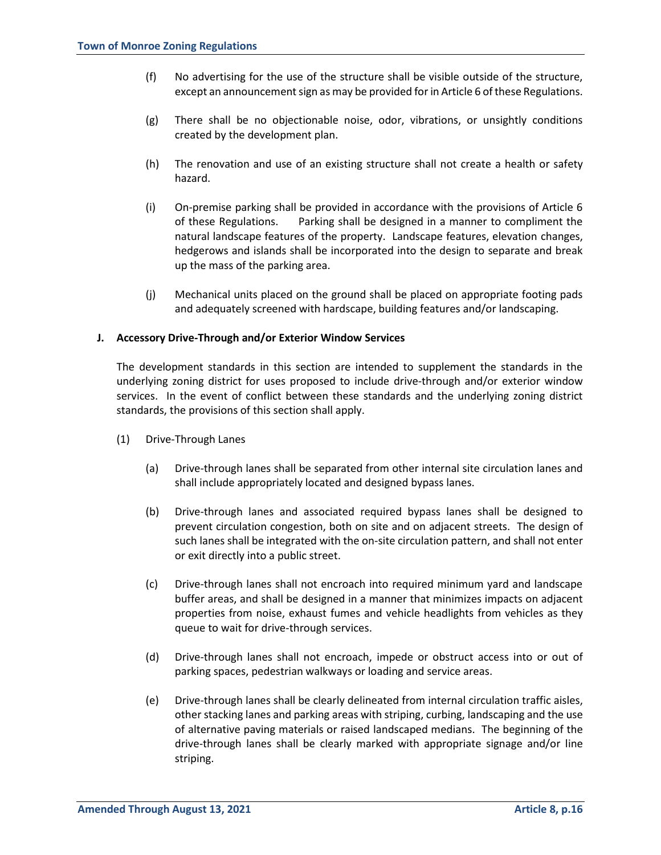- (f) No advertising for the use of the structure shall be visible outside of the structure, except an announcement sign as may be provided for in Article 6 of these Regulations.
- (g) There shall be no objectionable noise, odor, vibrations, or unsightly conditions created by the development plan.
- (h) The renovation and use of an existing structure shall not create a health or safety hazard.
- (i) On-premise parking shall be provided in accordance with the provisions of Article 6 of these Regulations. Parking shall be designed in a manner to compliment the natural landscape features of the property. Landscape features, elevation changes, hedgerows and islands shall be incorporated into the design to separate and break up the mass of the parking area.
- (j) Mechanical units placed on the ground shall be placed on appropriate footing pads and adequately screened with hardscape, building features and/or landscaping.

#### **J. Accessory Drive-Through and/or Exterior Window Services**

The development standards in this section are intended to supplement the standards in the underlying zoning district for uses proposed to include drive-through and/or exterior window services. In the event of conflict between these standards and the underlying zoning district standards, the provisions of this section shall apply.

- (1) Drive-Through Lanes
	- (a) Drive-through lanes shall be separated from other internal site circulation lanes and shall include appropriately located and designed bypass lanes.
	- (b) Drive-through lanes and associated required bypass lanes shall be designed to prevent circulation congestion, both on site and on adjacent streets. The design of such lanes shall be integrated with the on-site circulation pattern, and shall not enter or exit directly into a public street.
	- (c) Drive-through lanes shall not encroach into required minimum yard and landscape buffer areas, and shall be designed in a manner that minimizes impacts on adjacent properties from noise, exhaust fumes and vehicle headlights from vehicles as they queue to wait for drive-through services.
	- (d) Drive-through lanes shall not encroach, impede or obstruct access into or out of parking spaces, pedestrian walkways or loading and service areas.
	- (e) Drive-through lanes shall be clearly delineated from internal circulation traffic aisles, other stacking lanes and parking areas with striping, curbing, landscaping and the use of alternative paving materials or raised landscaped medians. The beginning of the drive-through lanes shall be clearly marked with appropriate signage and/or line striping.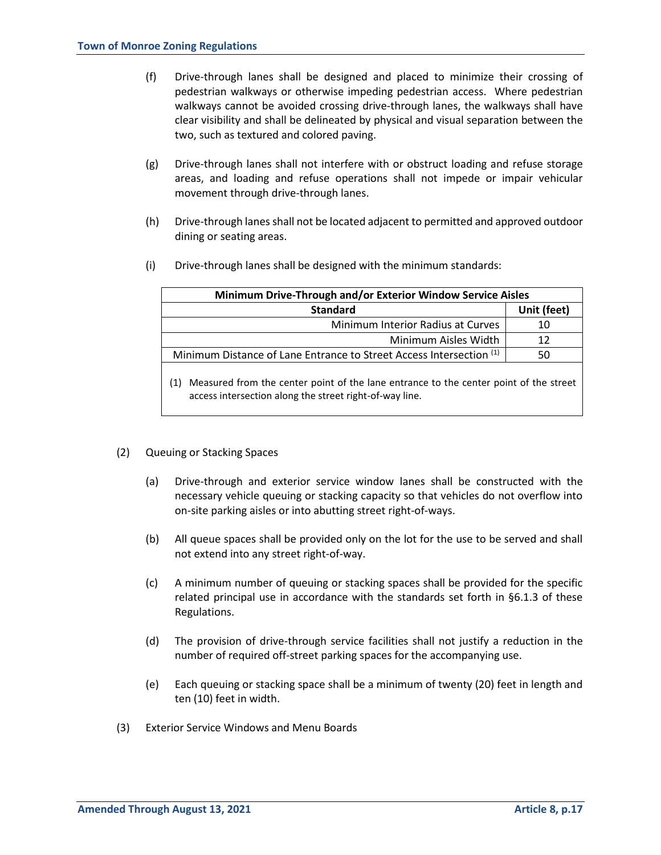- (f) Drive-through lanes shall be designed and placed to minimize their crossing of pedestrian walkways or otherwise impeding pedestrian access. Where pedestrian walkways cannot be avoided crossing drive-through lanes, the walkways shall have clear visibility and shall be delineated by physical and visual separation between the two, such as textured and colored paving.
- (g) Drive-through lanes shall not interfere with or obstruct loading and refuse storage areas, and loading and refuse operations shall not impede or impair vehicular movement through drive-through lanes.
- (h) Drive-through lanes shall not be located adjacent to permitted and approved outdoor dining or seating areas.
- (i) Drive-through lanes shall be designed with the minimum standards:

access intersection along the street right-of-way line.

| Minimum Drive-Through and/or Exterior Window Service Aisles                                  |             |  |  |
|----------------------------------------------------------------------------------------------|-------------|--|--|
| <b>Standard</b>                                                                              | Unit (feet) |  |  |
| Minimum Interior Radius at Curves                                                            | 10          |  |  |
| Minimum Aisles Width                                                                         | 12          |  |  |
| Minimum Distance of Lane Entrance to Street Access Intersection <sup>(1)</sup>               | 50          |  |  |
| Measured from the center point of the lane entrance to the center point of the street<br>(1) |             |  |  |

- (2) Queuing or Stacking Spaces
	- (a) Drive-through and exterior service window lanes shall be constructed with the necessary vehicle queuing or stacking capacity so that vehicles do not overflow into on-site parking aisles or into abutting street right-of-ways.
	- (b) All queue spaces shall be provided only on the lot for the use to be served and shall not extend into any street right-of-way.
	- (c) A minimum number of queuing or stacking spaces shall be provided for the specific related principal use in accordance with the standards set forth in §6.1.3 of these Regulations.
	- (d) The provision of drive-through service facilities shall not justify a reduction in the number of required off-street parking spaces for the accompanying use.
	- (e) Each queuing or stacking space shall be a minimum of twenty (20) feet in length and ten (10) feet in width.
- (3) Exterior Service Windows and Menu Boards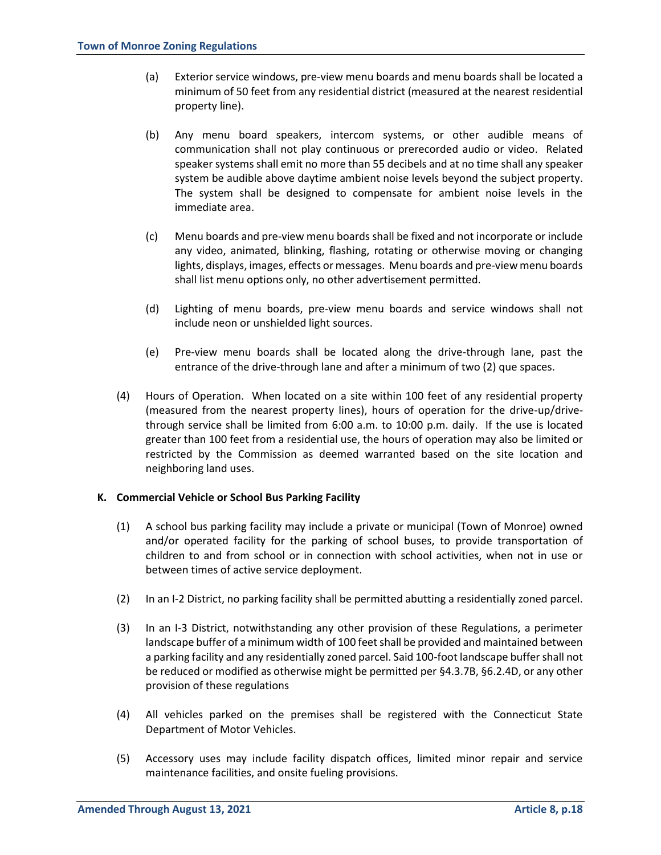- (a) Exterior service windows, pre-view menu boards and menu boards shall be located a minimum of 50 feet from any residential district (measured at the nearest residential property line).
- (b) Any menu board speakers, intercom systems, or other audible means of communication shall not play continuous or prerecorded audio or video. Related speaker systems shall emit no more than 55 decibels and at no time shall any speaker system be audible above daytime ambient noise levels beyond the subject property. The system shall be designed to compensate for ambient noise levels in the immediate area.
- (c) Menu boards and pre-view menu boards shall be fixed and not incorporate or include any video, animated, blinking, flashing, rotating or otherwise moving or changing lights, displays, images, effects or messages. Menu boards and pre-view menu boards shall list menu options only, no other advertisement permitted.
- (d) Lighting of menu boards, pre-view menu boards and service windows shall not include neon or unshielded light sources.
- (e) Pre-view menu boards shall be located along the drive-through lane, past the entrance of the drive-through lane and after a minimum of two (2) que spaces.
- (4) Hours of Operation. When located on a site within 100 feet of any residential property (measured from the nearest property lines), hours of operation for the drive-up/drivethrough service shall be limited from 6:00 a.m. to 10:00 p.m. daily. If the use is located greater than 100 feet from a residential use, the hours of operation may also be limited or restricted by the Commission as deemed warranted based on the site location and neighboring land uses.

## **K. Commercial Vehicle or School Bus Parking Facility**

- (1) A school bus parking facility may include a private or municipal (Town of Monroe) owned and/or operated facility for the parking of school buses, to provide transportation of children to and from school or in connection with school activities, when not in use or between times of active service deployment.
- (2) In an I-2 District, no parking facility shall be permitted abutting a residentially zoned parcel.
- (3) In an I-3 District, notwithstanding any other provision of these Regulations, a perimeter landscape buffer of a minimum width of 100 feet shall be provided and maintained between a parking facility and any residentially zoned parcel. Said 100-foot landscape buffer shall not be reduced or modified as otherwise might be permitted per §4.3.7B, §6.2.4D, or any other provision of these regulations
- (4) All vehicles parked on the premises shall be registered with the Connecticut State Department of Motor Vehicles.
- (5) Accessory uses may include facility dispatch offices, limited minor repair and service maintenance facilities, and onsite fueling provisions.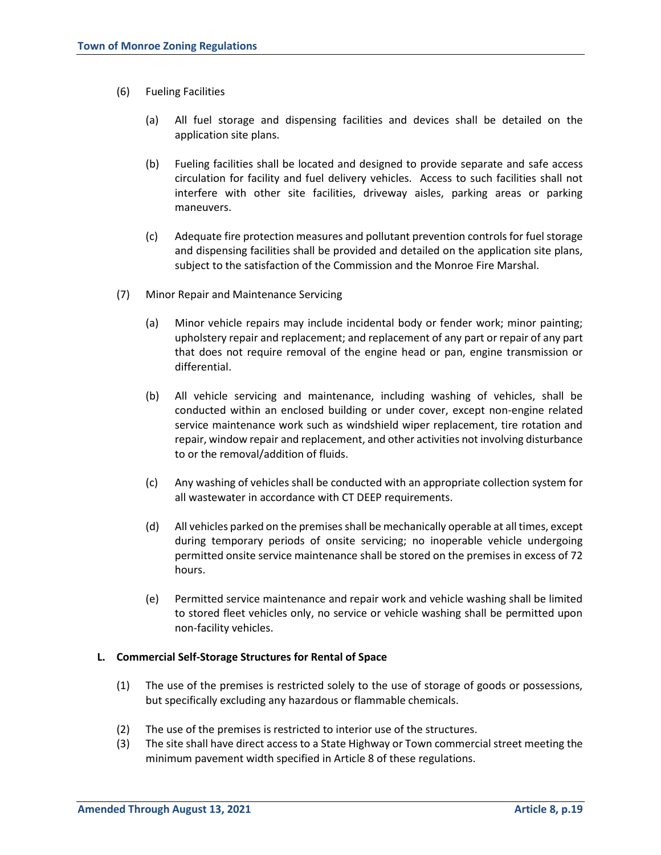- (6) Fueling Facilities
	- (a) All fuel storage and dispensing facilities and devices shall be detailed on the application site plans.
	- (b) Fueling facilities shall be located and designed to provide separate and safe access circulation for facility and fuel delivery vehicles. Access to such facilities shall not interfere with other site facilities, driveway aisles, parking areas or parking maneuvers.
	- (c) Adequate fire protection measures and pollutant prevention controls for fuel storage and dispensing facilities shall be provided and detailed on the application site plans, subject to the satisfaction of the Commission and the Monroe Fire Marshal.
- (7) Minor Repair and Maintenance Servicing
	- (a) Minor vehicle repairs may include incidental body or fender work; minor painting; upholstery repair and replacement; and replacement of any part or repair of any part that does not require removal of the engine head or pan, engine transmission or differential.
	- (b) All vehicle servicing and maintenance, including washing of vehicles, shall be conducted within an enclosed building or under cover, except non-engine related service maintenance work such as windshield wiper replacement, tire rotation and repair, window repair and replacement, and other activities not involving disturbance to or the removal/addition of fluids.
	- (c) Any washing of vehicles shall be conducted with an appropriate collection system for all wastewater in accordance with CT DEEP requirements.
	- (d) All vehicles parked on the premises shall be mechanically operable at all times, except during temporary periods of onsite servicing; no inoperable vehicle undergoing permitted onsite service maintenance shall be stored on the premises in excess of 72 hours.
	- (e) Permitted service maintenance and repair work and vehicle washing shall be limited to stored fleet vehicles only, no service or vehicle washing shall be permitted upon non-facility vehicles.

#### **L. Commercial Self-Storage Structures for Rental of Space**

- (1) The use of the premises is restricted solely to the use of storage of goods or possessions, but specifically excluding any hazardous or flammable chemicals.
- (2) The use of the premises is restricted to interior use of the structures.
- (3) The site shall have direct access to a State Highway or Town commercial street meeting the minimum pavement width specified in Article 8 of these regulations.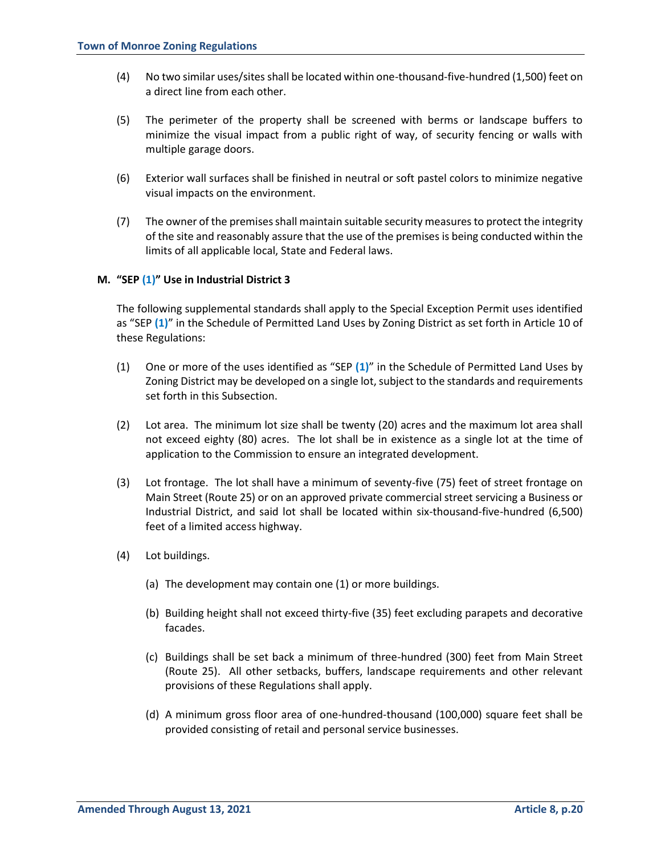- (4) No two similar uses/sites shall be located within one-thousand-five-hundred (1,500) feet on a direct line from each other.
- (5) The perimeter of the property shall be screened with berms or landscape buffers to minimize the visual impact from a public right of way, of security fencing or walls with multiple garage doors.
- (6) Exterior wall surfaces shall be finished in neutral or soft pastel colors to minimize negative visual impacts on the environment.
- (7) The owner of the premises shall maintain suitable security measures to protect the integrity of the site and reasonably assure that the use of the premises is being conducted within the limits of all applicable local, State and Federal laws.

#### **M. "SEP (1)" Use in Industrial District 3**

The following supplemental standards shall apply to the Special Exception Permit uses identified as "SEP **(1)**" in the Schedule of Permitted Land Uses by Zoning District as set forth in Article 10 of these Regulations:

- (1) One or more of the uses identified as "SEP **(1)**" in the Schedule of Permitted Land Uses by Zoning District may be developed on a single lot, subject to the standards and requirements set forth in this Subsection.
- (2) Lot area. The minimum lot size shall be twenty (20) acres and the maximum lot area shall not exceed eighty (80) acres. The lot shall be in existence as a single lot at the time of application to the Commission to ensure an integrated development.
- (3) Lot frontage. The lot shall have a minimum of seventy-five (75) feet of street frontage on Main Street (Route 25) or on an approved private commercial street servicing a Business or Industrial District, and said lot shall be located within six-thousand-five-hundred (6,500) feet of a limited access highway.
- (4) Lot buildings.
	- (a) The development may contain one (1) or more buildings.
	- (b) Building height shall not exceed thirty-five (35) feet excluding parapets and decorative facades.
	- (c) Buildings shall be set back a minimum of three-hundred (300) feet from Main Street (Route 25). All other setbacks, buffers, landscape requirements and other relevant provisions of these Regulations shall apply.
	- (d) A minimum gross floor area of one-hundred-thousand (100,000) square feet shall be provided consisting of retail and personal service businesses.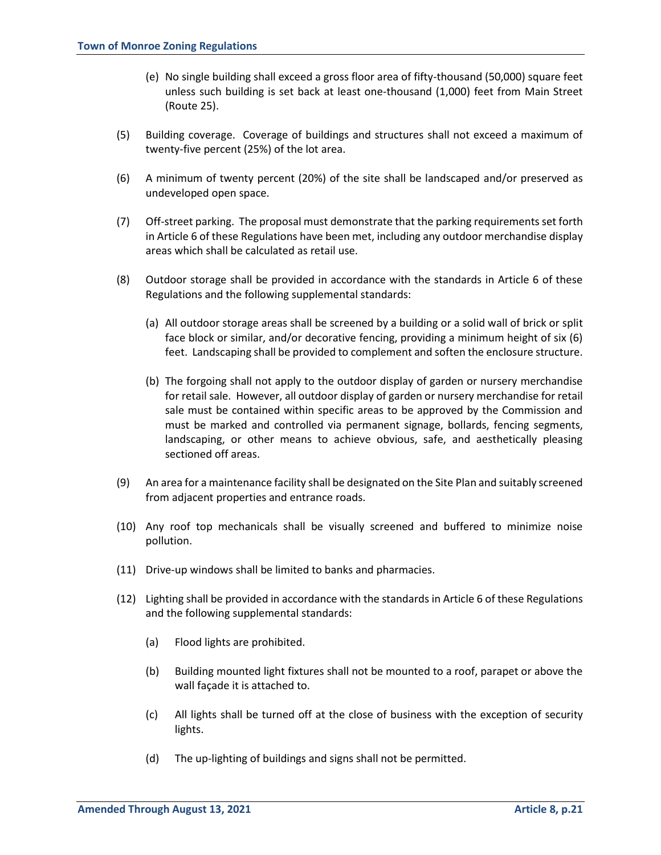- (e) No single building shall exceed a gross floor area of fifty-thousand (50,000) square feet unless such building is set back at least one-thousand (1,000) feet from Main Street (Route 25).
- (5) Building coverage. Coverage of buildings and structures shall not exceed a maximum of twenty-five percent (25%) of the lot area.
- (6) A minimum of twenty percent (20%) of the site shall be landscaped and/or preserved as undeveloped open space.
- (7) Off-street parking. The proposal must demonstrate that the parking requirements set forth in Article 6 of these Regulations have been met, including any outdoor merchandise display areas which shall be calculated as retail use.
- (8) Outdoor storage shall be provided in accordance with the standards in Article 6 of these Regulations and the following supplemental standards:
	- (a) All outdoor storage areas shall be screened by a building or a solid wall of brick or split face block or similar, and/or decorative fencing, providing a minimum height of six (6) feet. Landscaping shall be provided to complement and soften the enclosure structure.
	- (b) The forgoing shall not apply to the outdoor display of garden or nursery merchandise for retail sale. However, all outdoor display of garden or nursery merchandise for retail sale must be contained within specific areas to be approved by the Commission and must be marked and controlled via permanent signage, bollards, fencing segments, landscaping, or other means to achieve obvious, safe, and aesthetically pleasing sectioned off areas.
- (9) An area for a maintenance facility shall be designated on the Site Plan and suitably screened from adjacent properties and entrance roads.
- (10) Any roof top mechanicals shall be visually screened and buffered to minimize noise pollution.
- (11) Drive-up windows shall be limited to banks and pharmacies.
- (12) Lighting shall be provided in accordance with the standards in Article 6 of these Regulations and the following supplemental standards:
	- (a) Flood lights are prohibited.
	- (b) Building mounted light fixtures shall not be mounted to a roof, parapet or above the wall façade it is attached to.
	- (c) All lights shall be turned off at the close of business with the exception of security lights.
	- (d) The up-lighting of buildings and signs shall not be permitted.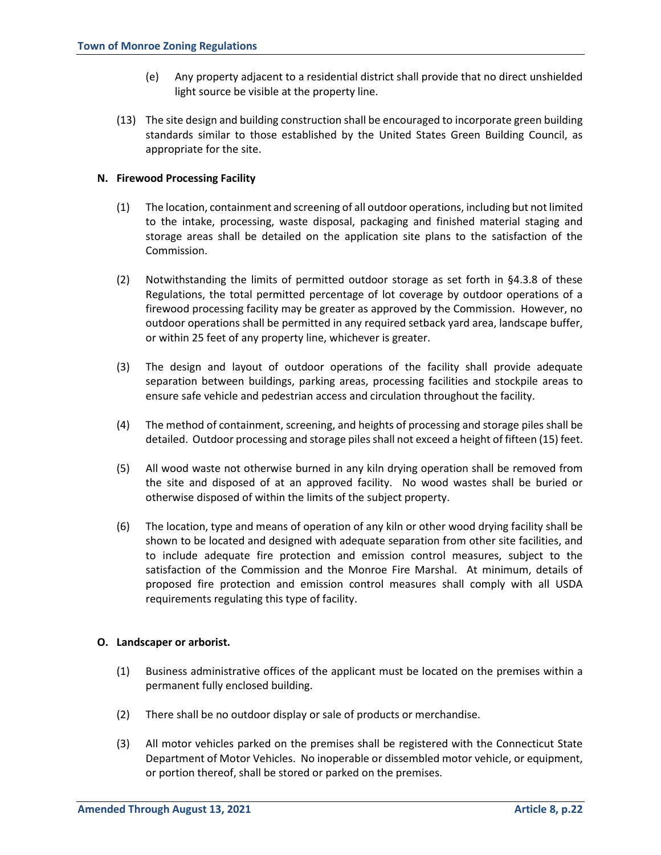- (e) Any property adjacent to a residential district shall provide that no direct unshielded light source be visible at the property line.
- (13) The site design and building construction shall be encouraged to incorporate green building standards similar to those established by the United States Green Building Council, as appropriate for the site.

## **N. Firewood Processing Facility**

- (1) The location, containment and screening of all outdoor operations, including but not limited to the intake, processing, waste disposal, packaging and finished material staging and storage areas shall be detailed on the application site plans to the satisfaction of the Commission.
- (2) Notwithstanding the limits of permitted outdoor storage as set forth in §4.3.8 of these Regulations, the total permitted percentage of lot coverage by outdoor operations of a firewood processing facility may be greater as approved by the Commission. However, no outdoor operations shall be permitted in any required setback yard area, landscape buffer, or within 25 feet of any property line, whichever is greater.
- (3) The design and layout of outdoor operations of the facility shall provide adequate separation between buildings, parking areas, processing facilities and stockpile areas to ensure safe vehicle and pedestrian access and circulation throughout the facility.
- (4) The method of containment, screening, and heights of processing and storage piles shall be detailed. Outdoor processing and storage piles shall not exceed a height of fifteen (15) feet.
- (5) All wood waste not otherwise burned in any kiln drying operation shall be removed from the site and disposed of at an approved facility. No wood wastes shall be buried or otherwise disposed of within the limits of the subject property.
- (6) The location, type and means of operation of any kiln or other wood drying facility shall be shown to be located and designed with adequate separation from other site facilities, and to include adequate fire protection and emission control measures, subject to the satisfaction of the Commission and the Monroe Fire Marshal. At minimum, details of proposed fire protection and emission control measures shall comply with all USDA requirements regulating this type of facility.

#### **O. Landscaper or arborist.**

- (1) Business administrative offices of the applicant must be located on the premises within a permanent fully enclosed building.
- (2) There shall be no outdoor display or sale of products or merchandise.
- (3) All motor vehicles parked on the premises shall be registered with the Connecticut State Department of Motor Vehicles. No inoperable or dissembled motor vehicle, or equipment, or portion thereof, shall be stored or parked on the premises.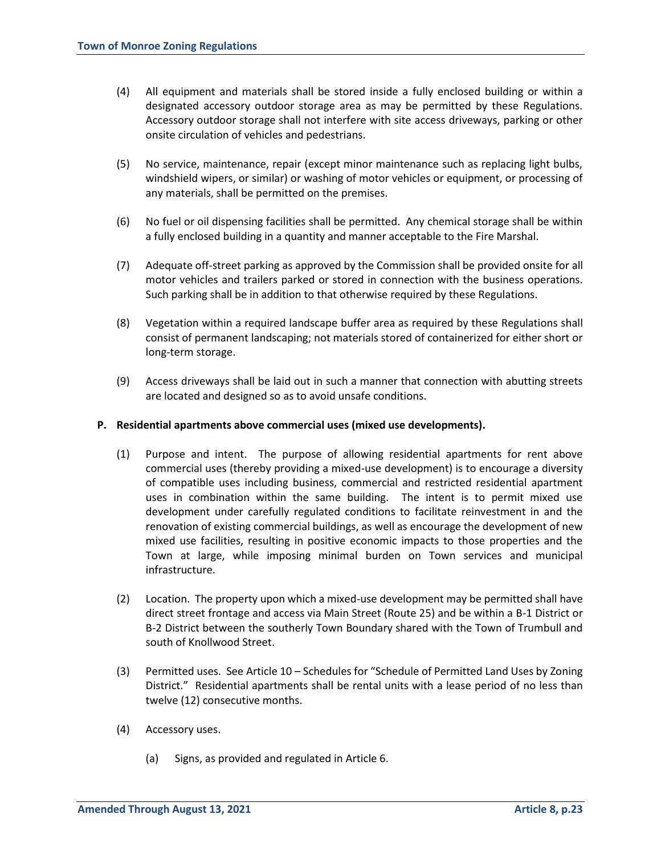- (4) All equipment and materials shall be stored inside a fully enclosed building or within a designated accessory outdoor storage area as may be permitted by these Regulations. Accessory outdoor storage shall not interfere with site access driveways, parking or other onsite circulation of vehicles and pedestrians.
- (5) No service, maintenance, repair (except minor maintenance such as replacing light bulbs, windshield wipers, or similar) or washing of motor vehicles or equipment, or processing of any materials, shall be permitted on the premises.
- (6) No fuel or oil dispensing facilities shall be permitted. Any chemical storage shall be within a fully enclosed building in a quantity and manner acceptable to the Fire Marshal.
- (7) Adequate off-street parking as approved by the Commission shall be provided onsite for all motor vehicles and trailers parked or stored in connection with the business operations. Such parking shall be in addition to that otherwise required by these Regulations.
- (8) Vegetation within a required landscape buffer area as required by these Regulations shall consist of permanent landscaping; not materials stored of containerized for either short or long-term storage.
- (9) Access driveways shall be laid out in such a manner that connection with abutting streets are located and designed so as to avoid unsafe conditions.

#### **P. Residential apartments above commercial uses (mixed use developments).**

- (1) Purpose and intent. The purpose of allowing residential apartments for rent above commercial uses (thereby providing a mixed-use development) is to encourage a diversity of compatible uses including business, commercial and restricted residential apartment uses in combination within the same building. The intent is to permit mixed use development under carefully regulated conditions to facilitate reinvestment in and the renovation of existing commercial buildings, as well as encourage the development of new mixed use facilities, resulting in positive economic impacts to those properties and the Town at large, while imposing minimal burden on Town services and municipal infrastructure.
- (2) Location. The property upon which a mixed-use development may be permitted shall have direct street frontage and access via Main Street (Route 25) and be within a B-1 District or B-2 District between the southerly Town Boundary shared with the Town of Trumbull and south of Knollwood Street.
- (3) Permitted uses. See Article 10 Schedules for "Schedule of Permitted Land Uses by Zoning District." Residential apartments shall be rental units with a lease period of no less than twelve (12) consecutive months.
- (4) Accessory uses.
	- (a) Signs, as provided and regulated in Article 6.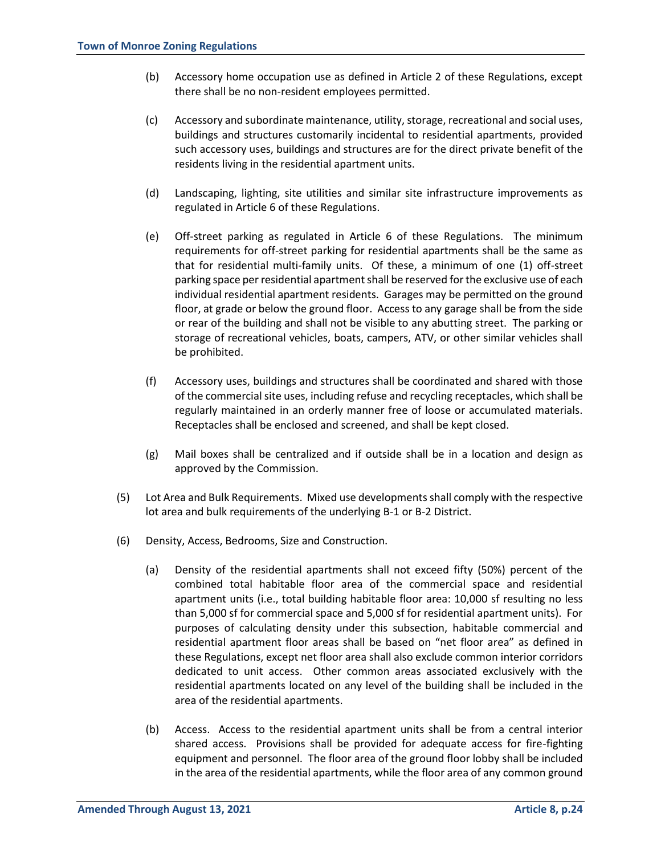- (b) Accessory home occupation use as defined in Article 2 of these Regulations, except there shall be no non-resident employees permitted.
- (c) Accessory and subordinate maintenance, utility, storage, recreational and social uses, buildings and structures customarily incidental to residential apartments, provided such accessory uses, buildings and structures are for the direct private benefit of the residents living in the residential apartment units.
- (d) Landscaping, lighting, site utilities and similar site infrastructure improvements as regulated in Article 6 of these Regulations.
- (e) Off-street parking as regulated in Article 6 of these Regulations. The minimum requirements for off-street parking for residential apartments shall be the same as that for residential multi-family units. Of these, a minimum of one (1) off-street parking space per residential apartment shall be reserved for the exclusive use of each individual residential apartment residents. Garages may be permitted on the ground floor, at grade or below the ground floor. Access to any garage shall be from the side or rear of the building and shall not be visible to any abutting street. The parking or storage of recreational vehicles, boats, campers, ATV, or other similar vehicles shall be prohibited.
- (f) Accessory uses, buildings and structures shall be coordinated and shared with those of the commercial site uses, including refuse and recycling receptacles, which shall be regularly maintained in an orderly manner free of loose or accumulated materials. Receptacles shall be enclosed and screened, and shall be kept closed.
- (g) Mail boxes shall be centralized and if outside shall be in a location and design as approved by the Commission.
- (5) Lot Area and Bulk Requirements. Mixed use developments shall comply with the respective lot area and bulk requirements of the underlying B-1 or B-2 District.
- (6) Density, Access, Bedrooms, Size and Construction.
	- (a) Density of the residential apartments shall not exceed fifty (50%) percent of the combined total habitable floor area of the commercial space and residential apartment units (i.e., total building habitable floor area: 10,000 sf resulting no less than 5,000 sf for commercial space and 5,000 sf for residential apartment units). For purposes of calculating density under this subsection, habitable commercial and residential apartment floor areas shall be based on "net floor area" as defined in these Regulations, except net floor area shall also exclude common interior corridors dedicated to unit access. Other common areas associated exclusively with the residential apartments located on any level of the building shall be included in the area of the residential apartments.
	- (b) Access. Access to the residential apartment units shall be from a central interior shared access. Provisions shall be provided for adequate access for fire-fighting equipment and personnel. The floor area of the ground floor lobby shall be included in the area of the residential apartments, while the floor area of any common ground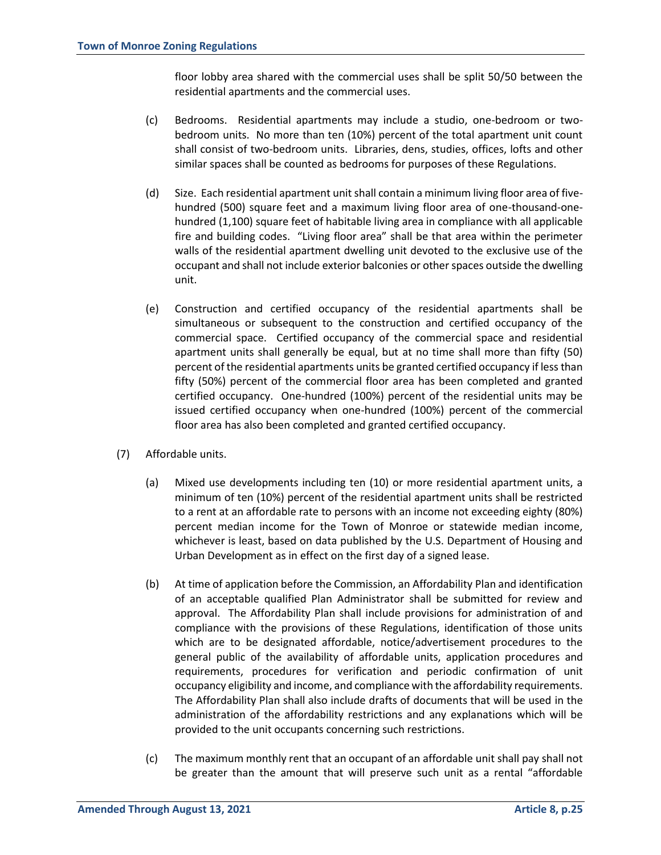floor lobby area shared with the commercial uses shall be split 50/50 between the residential apartments and the commercial uses.

- (c) Bedrooms. Residential apartments may include a studio, one-bedroom or twobedroom units. No more than ten (10%) percent of the total apartment unit count shall consist of two-bedroom units. Libraries, dens, studies, offices, lofts and other similar spaces shall be counted as bedrooms for purposes of these Regulations.
- (d) Size. Each residential apartment unit shall contain a minimum living floor area of fivehundred (500) square feet and a maximum living floor area of one-thousand-onehundred (1,100) square feet of habitable living area in compliance with all applicable fire and building codes. "Living floor area" shall be that area within the perimeter walls of the residential apartment dwelling unit devoted to the exclusive use of the occupant and shall not include exterior balconies or other spaces outside the dwelling unit.
- (e) Construction and certified occupancy of the residential apartments shall be simultaneous or subsequent to the construction and certified occupancy of the commercial space. Certified occupancy of the commercial space and residential apartment units shall generally be equal, but at no time shall more than fifty (50) percent of the residential apartments units be granted certified occupancy if less than fifty (50%) percent of the commercial floor area has been completed and granted certified occupancy. One-hundred (100%) percent of the residential units may be issued certified occupancy when one-hundred (100%) percent of the commercial floor area has also been completed and granted certified occupancy.
- (7) Affordable units.
	- (a) Mixed use developments including ten (10) or more residential apartment units, a minimum of ten (10%) percent of the residential apartment units shall be restricted to a rent at an affordable rate to persons with an income not exceeding eighty (80%) percent median income for the Town of Monroe or statewide median income, whichever is least, based on data published by the U.S. Department of Housing and Urban Development as in effect on the first day of a signed lease.
	- (b) At time of application before the Commission, an Affordability Plan and identification of an acceptable qualified Plan Administrator shall be submitted for review and approval. The Affordability Plan shall include provisions for administration of and compliance with the provisions of these Regulations, identification of those units which are to be designated affordable, notice/advertisement procedures to the general public of the availability of affordable units, application procedures and requirements, procedures for verification and periodic confirmation of unit occupancy eligibility and income, and compliance with the affordability requirements. The Affordability Plan shall also include drafts of documents that will be used in the administration of the affordability restrictions and any explanations which will be provided to the unit occupants concerning such restrictions.
	- (c) The maximum monthly rent that an occupant of an affordable unit shall pay shall not be greater than the amount that will preserve such unit as a rental "affordable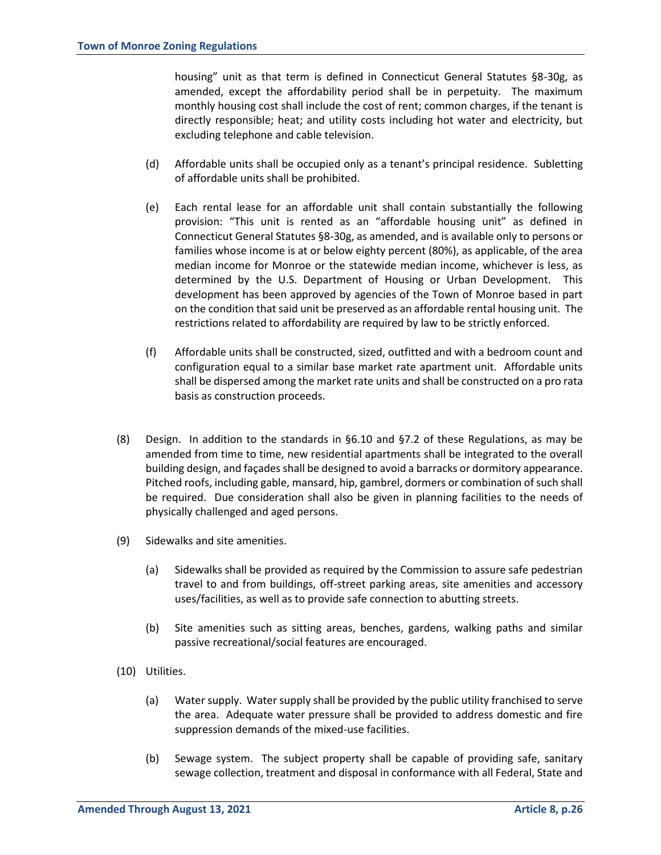housing" unit as that term is defined in Connecticut General Statutes §8-30g, as amended, except the affordability period shall be in perpetuity. The maximum monthly housing cost shall include the cost of rent; common charges, if the tenant is directly responsible; heat; and utility costs including hot water and electricity, but excluding telephone and cable television.

- (d) Affordable units shall be occupied only as a tenant's principal residence. Subletting of affordable units shall be prohibited.
- (e) Each rental lease for an affordable unit shall contain substantially the following provision: "This unit is rented as an "affordable housing unit" as defined in Connecticut General Statutes §8-30g, as amended, and is available only to persons or families whose income is at or below eighty percent (80%), as applicable, of the area median income for Monroe or the statewide median income, whichever is less, as determined by the U.S. Department of Housing or Urban Development. This development has been approved by agencies of the Town of Monroe based in part on the condition that said unit be preserved as an affordable rental housing unit. The restrictions related to affordability are required by law to be strictly enforced.
- (f) Affordable units shall be constructed, sized, outfitted and with a bedroom count and configuration equal to a similar base market rate apartment unit. Affordable units shall be dispersed among the market rate units and shall be constructed on a pro rata basis as construction proceeds.
- (8) Design. In addition to the standards in  $\S 6.10$  and  $\S 7.2$  of these Regulations, as may be amended from time to time, new residential apartments shall be integrated to the overall building design, and façades shall be designed to avoid a barracks or dormitory appearance. Pitched roofs, including gable, mansard, hip, gambrel, dormers or combination of such shall be required. Due consideration shall also be given in planning facilities to the needs of physically challenged and aged persons.
- (9) Sidewalks and site amenities.
	- (a) Sidewalks shall be provided as required by the Commission to assure safe pedestrian travel to and from buildings, off-street parking areas, site amenities and accessory uses/facilities, as well as to provide safe connection to abutting streets.
	- (b) Site amenities such as sitting areas, benches, gardens, walking paths and similar passive recreational/social features are encouraged.
- (10) Utilities.
	- (a) Water supply. Water supply shall be provided by the public utility franchised to serve the area. Adequate water pressure shall be provided to address domestic and fire suppression demands of the mixed-use facilities.
	- (b) Sewage system. The subject property shall be capable of providing safe, sanitary sewage collection, treatment and disposal in conformance with all Federal, State and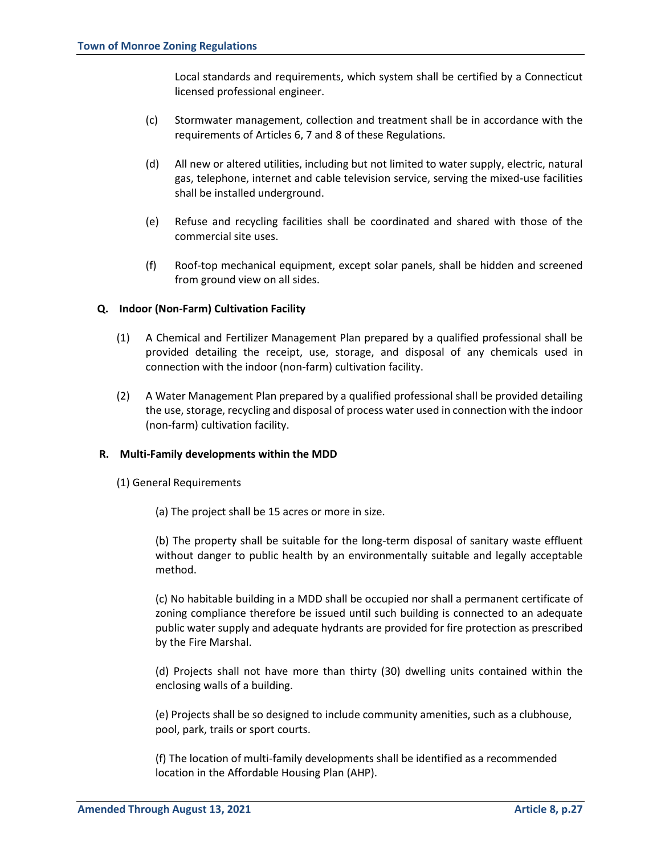Local standards and requirements, which system shall be certified by a Connecticut licensed professional engineer.

- (c) Stormwater management, collection and treatment shall be in accordance with the requirements of Articles 6, 7 and 8 of these Regulations.
- (d) All new or altered utilities, including but not limited to water supply, electric, natural gas, telephone, internet and cable television service, serving the mixed-use facilities shall be installed underground.
- (e) Refuse and recycling facilities shall be coordinated and shared with those of the commercial site uses.
- (f) Roof-top mechanical equipment, except solar panels, shall be hidden and screened from ground view on all sides.

## **Q. Indoor (Non-Farm) Cultivation Facility**

- (1) A Chemical and Fertilizer Management Plan prepared by a qualified professional shall be provided detailing the receipt, use, storage, and disposal of any chemicals used in connection with the indoor (non-farm) cultivation facility.
- (2) A Water Management Plan prepared by a qualified professional shall be provided detailing the use, storage, recycling and disposal of process water used in connection with the indoor (non-farm) cultivation facility.

#### **R. Multi-Family developments within the MDD**

- (1) General Requirements
	- (a) The project shall be 15 acres or more in size.

(b) The property shall be suitable for the long-term disposal of sanitary waste effluent without danger to public health by an environmentally suitable and legally acceptable method.

(c) No habitable building in a MDD shall be occupied nor shall a permanent certificate of zoning compliance therefore be issued until such building is connected to an adequate public water supply and adequate hydrants are provided for fire protection as prescribed by the Fire Marshal.

(d) Projects shall not have more than thirty (30) dwelling units contained within the enclosing walls of a building.

(e) Projects shall be so designed to include community amenities, such as a clubhouse, pool, park, trails or sport courts.

(f) The location of multi-family developments shall be identified as a recommended location in the Affordable Housing Plan (AHP).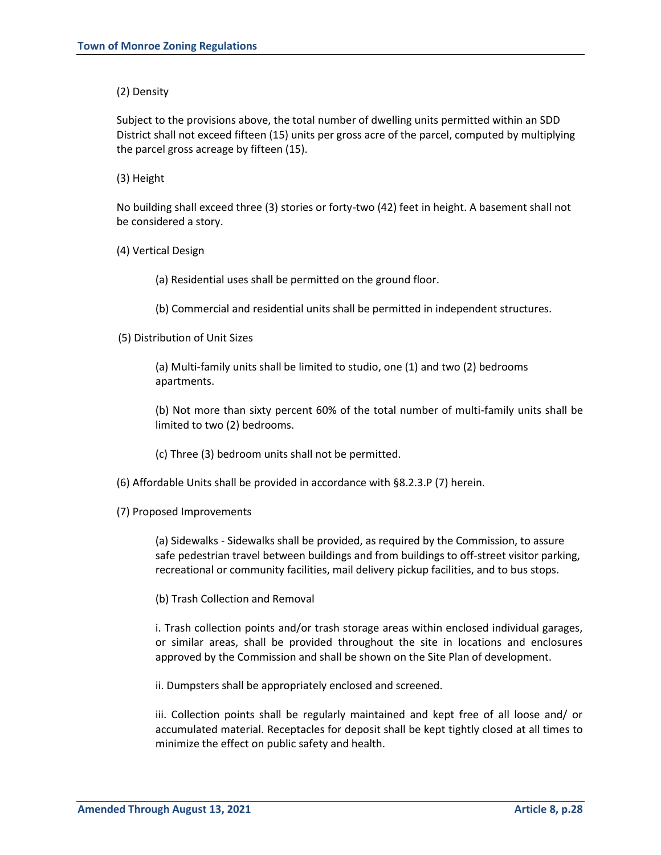(2) Density

Subject to the provisions above, the total number of dwelling units permitted within an SDD District shall not exceed fifteen (15) units per gross acre of the parcel, computed by multiplying the parcel gross acreage by fifteen (15).

(3) Height

No building shall exceed three (3) stories or forty-two (42) feet in height. A basement shall not be considered a story.

(4) Vertical Design

(a) Residential uses shall be permitted on the ground floor.

(b) Commercial and residential units shall be permitted in independent structures.

(5) Distribution of Unit Sizes

(a) Multi-family units shall be limited to studio, one (1) and two (2) bedrooms apartments.

(b) Not more than sixty percent 60% of the total number of multi-family units shall be limited to two (2) bedrooms.

(c) Three (3) bedroom units shall not be permitted.

(6) Affordable Units shall be provided in accordance with §8.2.3.P (7) herein.

(7) Proposed Improvements

(a) Sidewalks - Sidewalks shall be provided, as required by the Commission, to assure safe pedestrian travel between buildings and from buildings to off-street visitor parking, recreational or community facilities, mail delivery pickup facilities, and to bus stops.

(b) Trash Collection and Removal

i. Trash collection points and/or trash storage areas within enclosed individual garages, or similar areas, shall be provided throughout the site in locations and enclosures approved by the Commission and shall be shown on the Site Plan of development.

ii. Dumpsters shall be appropriately enclosed and screened.

iii. Collection points shall be regularly maintained and kept free of all loose and/ or accumulated material. Receptacles for deposit shall be kept tightly closed at all times to minimize the effect on public safety and health.